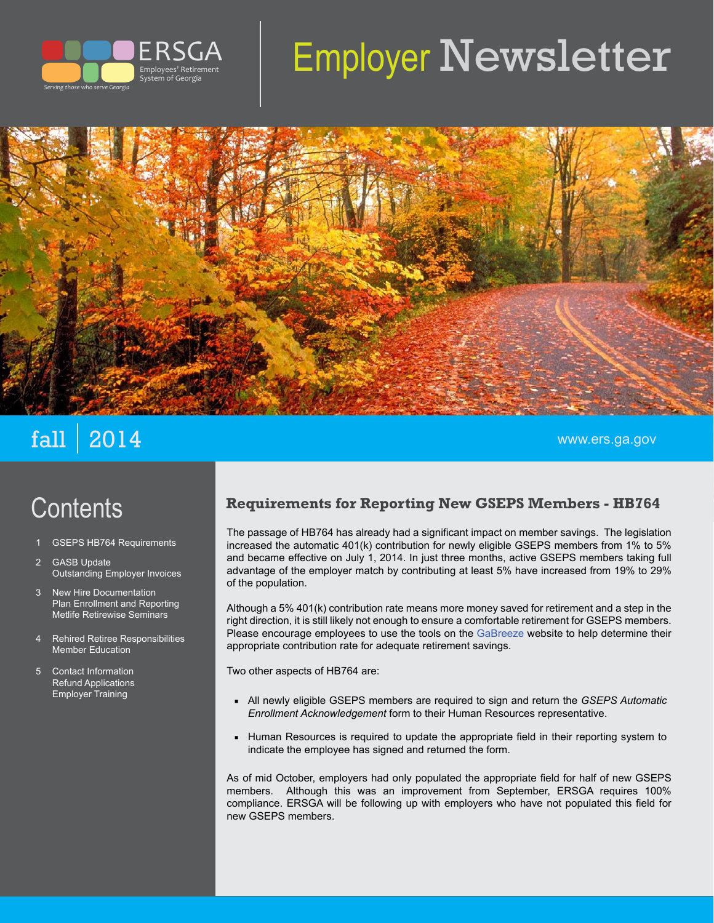

# Employer Newsletter



## $\mathbf{fall} \mid \mathbf{2014}$  . The contract of the contract of the contract of the contract of the contract of the contract of the contract of the contract of the contract of the contract of the contract of the contract of the con

## **Contents**

- 1 GSEPS HB764 Requirements
- **GASB Update** Outstanding Employer Invoices
- 3 New Hire Documentation Plan Enrollment and Reporting Metlife Retirewise Seminars
- 4 Rehired Retiree Responsibilities Member Education
- 5 Contact Information Refund Applications Employer Training

#### **Requirements for Reporting New GSEPS Members - HB764**

The passage of HB764 has already had a significant impact on member savings. The legislation increased the automatic 401(k) contribution for newly eligible GSEPS members from 1% to 5% and became effective on July 1, 2014. In just three months, active GSEPS members taking full advantage of the employer match by contributing at least 5% have increased from 19% to 29% of the population.

Although a 5% 401(k) contribution rate means more money saved for retirement and a step in the right direction, it is still likely not enough to ensure a comfortable retirement for GSEPS members. Please encourage employees to use the tools on the [GaBreeze](http://gabreeze.ga.gov) website to help determine their appropriate contribution rate for adequate retirement savings.

Two other aspects of HB764 are:

- **▪** All newly eligible GSEPS members are required to sign and return the *GSEPS Automatic Enrollment Acknowledgement* form to their Human Resources representative.
- **Human Resources is required to update the appropriate field in their reporting system to** indicate the employee has signed and returned the form.

As of mid October, employers had only populated the appropriate field for half of new GSEPS members. Although this was an improvement from September, ERSGA requires 100% compliance. ERSGA will be following up with employers who have not populated this field for new GSEPS members.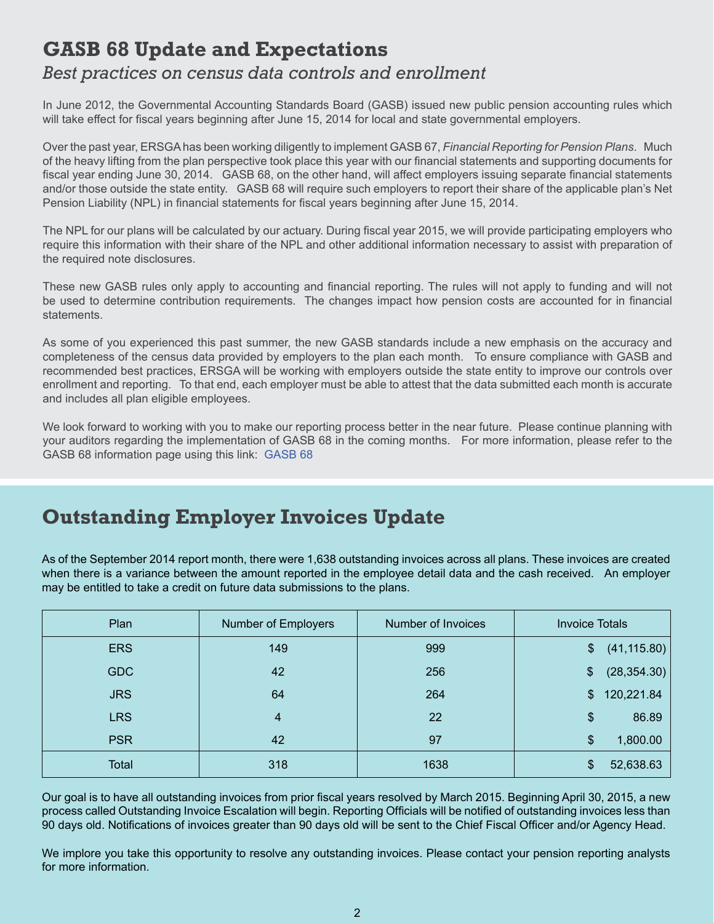## **GASB 68 Update and Expectations**

#### *Best practices on census data controls and enrollment*

In June 2012, the Governmental Accounting Standards Board (GASB) issued new public pension accounting rules which will take effect for fiscal years beginning after June 15, 2014 for local and state governmental employers.

Over the past year, ERSGA has been working diligently to implement GASB 67, *Financial Reporting for Pension Plans*. Much of the heavy lifting from the plan perspective took place this year with our financial statements and supporting documents for fiscal year ending June 30, 2014. GASB 68, on the other hand, will affect employers issuing separate financial statements and/or those outside the state entity. GASB 68 will require such employers to report their share of the applicable plan's Net Pension Liability (NPL) in financial statements for fiscal years beginning after June 15, 2014.

The NPL for our plans will be calculated by our actuary. During fiscal year 2015, we will provide participating employers who require this information with their share of the NPL and other additional information necessary to assist with preparation of the required note disclosures.

These new GASB rules only apply to accounting and financial reporting. The rules will not apply to funding and will not be used to determine contribution requirements. The changes impact how pension costs are accounted for in financial statements.

As some of you experienced this past summer, the new GASB standards include a new emphasis on the accuracy and completeness of the census data provided by employers to the plan each month. To ensure compliance with GASB and recommended best practices, ERSGA will be working with employers outside the state entity to improve our controls over enrollment and reporting. To that end, each employer must be able to attest that the data submitted each month is accurate and includes all plan eligible employees.

We look forward to working with you to make our reporting process better in the near future. Please continue planning with your auditors regarding the implementation of GASB 68 in the coming months. For more information, please refer to the GASB 68 information page using this link: [GASB 68](http://www.gasb.org/jsp/GASB/Page/GASBSectionPage&cid=1176163527868)

#### **Outstanding Employer Invoices Update**

As of the September 2014 report month, there were 1,638 outstanding invoices across all plans. These invoices are created when there is a variance between the amount reported in the employee detail data and the cash received. An employer may be entitled to take a credit on future data submissions to the plans.

| Plan       | Number of Employers | Number of Invoices | <b>Invoice Totals</b> |
|------------|---------------------|--------------------|-----------------------|
| <b>ERS</b> | 149                 | 999                | (41, 115.80)<br>\$    |
| <b>GDC</b> | 42                  | 256                | (28, 354.30)<br>\$    |
| <b>JRS</b> | 64                  | 264                | 120,221.84<br>\$      |
| <b>LRS</b> | 4                   | 22                 | 86.89<br>\$           |
| <b>PSR</b> | 42                  | 97                 | 1,800.00<br>\$        |
| Total      | 318                 | 1638               | 52,638.63             |

Our goal is to have all outstanding invoices from prior fiscal years resolved by March 2015. Beginning April 30, 2015, a new process called Outstanding Invoice Escalation will begin. Reporting Officials will be notified of outstanding invoices less than 90 days old. Notifications of invoices greater than 90 days old will be sent to the Chief Fiscal Officer and/or Agency Head.

We implore you take this opportunity to resolve any outstanding invoices. Please contact your pension reporting analysts for more information.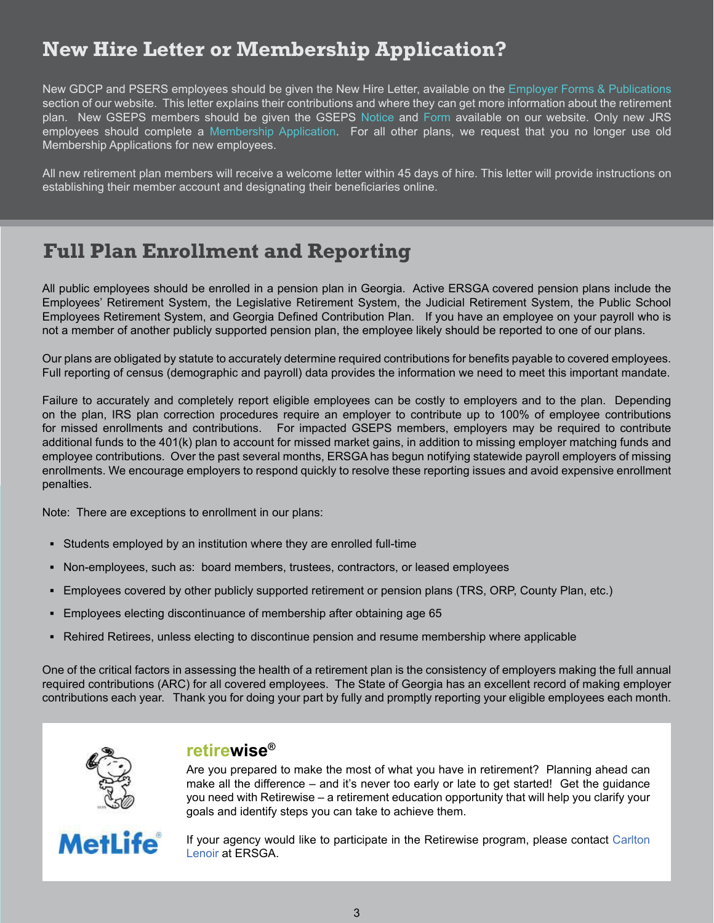### **New Hire Letter or Membership Application?**

New GDCP and PSERS employees should be given the New Hire Letter, available on the [Employer Forms & Publications](http://www.ers.ga.gov/employers/employerforms.html)  section of our website. This letter explains their contributions and where they can get more information about the retirement plan. New GSEPS members should be given the GSEPS [Notice](http://www.ers.ga.gov/plans/ers/formsandpubs/GSEPS_401(k)_Enrollment_Info_GaBreeze.pdf) and [Form](http://www.ers.ga.gov/Docs/Formsandpubs/GSEPSAutoEnrollmentAcknowledgement.pdf) available on our website. Only new JRS employees should complete a [Membership Application](http://www.ers.ga.gov/Docs/Formsandpubs/JRS_Membership_App.pdf). For all other plans, we request that you no longer use old Membership Applications for new employees.

All new retirement plan members will receive a welcome letter within 45 days of hire. This letter will provide instructions on establishing their member account and designating their beneficiaries online.

#### **Full Plan Enrollment and Reporting**

All public employees should be enrolled in a pension plan in Georgia. Active ERSGA covered pension plans include the Employees' Retirement System, the Legislative Retirement System, the Judicial Retirement System, the Public School Employees Retirement System, and Georgia Defined Contribution Plan. If you have an employee on your payroll who is not a member of another publicly supported pension plan, the employee likely should be reported to one of our plans.

Our plans are obligated by statute to accurately determine required contributions for benefits payable to covered employees. Full reporting of census (demographic and payroll) data provides the information we need to meet this important mandate.

Failure to accurately and completely report eligible employees can be costly to employers and to the plan. Depending on the plan, IRS plan correction procedures require an employer to contribute up to 100% of employee contributions for missed enrollments and contributions. For impacted GSEPS members, employers may be required to contribute additional funds to the 401(k) plan to account for missed market gains, in addition to missing employer matching funds and employee contributions. Over the past several months, ERSGA has begun notifying statewide payroll employers of missing enrollments. We encourage employers to respond quickly to resolve these reporting issues and avoid expensive enrollment penalties.

Note: There are exceptions to enrollment in our plans:

- **▪** Students employed by an institution where they are enrolled full-time
- Non-employees, such as: board members, trustees, contractors, or leased employees
- **▪** Employees covered by other publicly supported retirement or pension plans (TRS, ORP, County Plan, etc.)
- **▪** Employees electing discontinuance of membership after obtaining age 65
- **▪** Rehired Retirees, unless electing to discontinue pension and resume membership where applicable

One of the critical factors in assessing the health of a retirement plan is the consistency of employers making the full annual required contributions (ARC) for all covered employees. The State of Georgia has an excellent record of making employer contributions each year. Thank you for doing your part by fully and promptly reporting your eligible employees each month.



#### **retirewise®**

Are you prepared to make the most of what you have in retirement? Planning ahead can make all the difference – and it's never too early or late to get started! Get the guidance you need with Retirewise – a retirement education opportunity that will help you clarify your goals and identify steps you can take to achieve them.



If your agency would like to participate in the Retirewise program, please contact [Carlton](mailto:carlton.lenoir@ers.ga.gov)  [Lenoir](mailto:carlton.lenoir@ers.ga.gov) at ERSGA.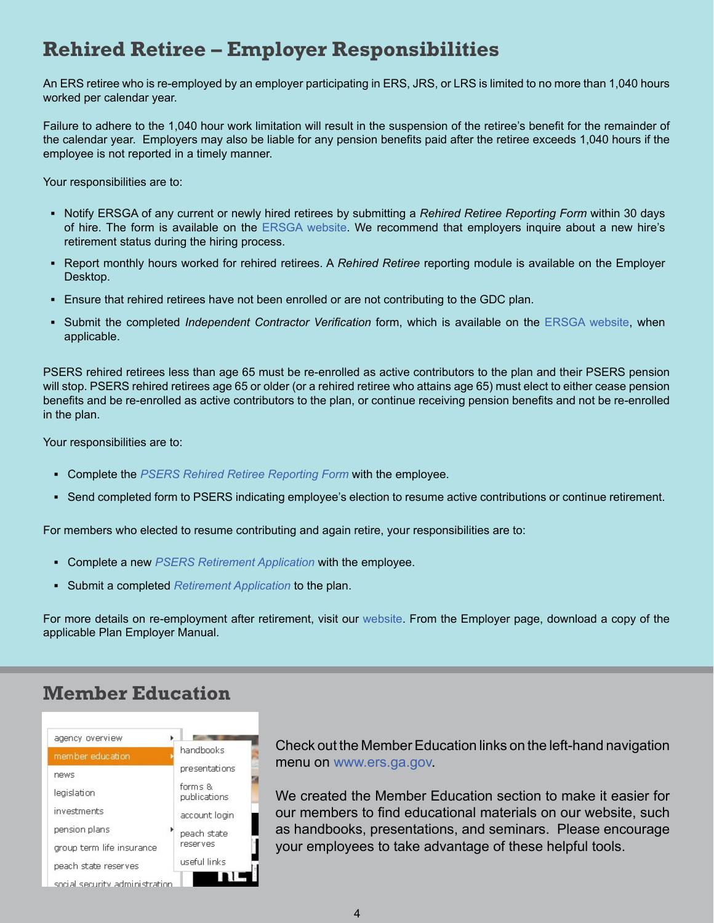### **Rehired Retiree – Employer Responsibilities**

An ERS retiree who is re-employed by an employer participating in ERS, JRS, or LRS is limited to no more than 1,040 hours worked per calendar year.

Failure to adhere to the 1,040 hour work limitation will result in the suspension of the retiree's benefit for the remainder of the calendar year. Employers may also be liable for any pension benefits paid after the retiree exceeds 1,040 hours if the employee is not reported in a timely manner.

Your responsibilities are to:

- **▪** Notify ERSGA of any current or newly hired retirees by submitting a *Rehired Retiree Reporting Form* within 30 days of hire. The form is available on the [ERSGA website](http://www.ers.ga.gov/Docs/Formsandpubs/Rehired_Retiree_Reporting_Form.pdf). We recommend that employers inquire about a new hire's retirement status during the hiring process.
- Report monthly hours worked for rehired retirees. A *Rehired Retiree* reporting module is available on the Employer Desktop.
- **•** Ensure that rehired retirees have not been enrolled or are not contributing to the GDC plan.
- **▪** Submit the completed *Independent Contractor Verification* form, which is available on the [ERSGA website,](http://www.ers.ga.gov/Docs/Formsandpubs/Independent_Contractor_Verification_Form.pdf) when applicable.

PSERS rehired retirees less than age 65 must be re-enrolled as active contributors to the plan and their PSERS pension will stop. PSERS rehired retirees age 65 or older (or a rehired retiree who attains age 65) must elect to either cease pension benefits and be re-enrolled as active contributors to the plan, or continue receiving pension benefits and not be re-enrolled in the plan.

Your responsibilities are to:

- **▪** Complete the *[PSERS Rehired Retiree Reporting Form](http://www.ers.ga.gov/Docs/Formsandpubs/Rehired_Retiree_Reporting_Form_PSERS.pdf)* with the employee.
- **▪** Send completed form to PSERS indicating employee's election to resume active contributions or continue retirement.

For members who elected to resume contributing and again retire, your responsibilities are to:

- **▪** Complete a new *[PSERS Retirement Application](http://www.ers.ga.gov/Docs/Formsandpubs/PSERS%20Service%20Retirement%20Application.pdf)* with the employee.
- **▪** Submit a completed *[Retirement Application](http://www.ers.ga.gov/Docs/Formsandpubs/PSERS%20Service%20Retirement%20Application.pdf)* to the plan.

For more details on re-employment after retirement, visit our [website](http://www.ers.ga.gov). From the Employer page, download a copy of the applicable Plan Employer Manual.

#### **Member Education**



Check out the Member Education links on the left-hand navigation menu on [www.ers.ga.gov](http://www.ers.ga.gov).

We created the Member Education section to make it easier for our members to find educational materials on our website, such as handbooks, presentations, and seminars. Please encourage your employees to take advantage of these helpful tools.